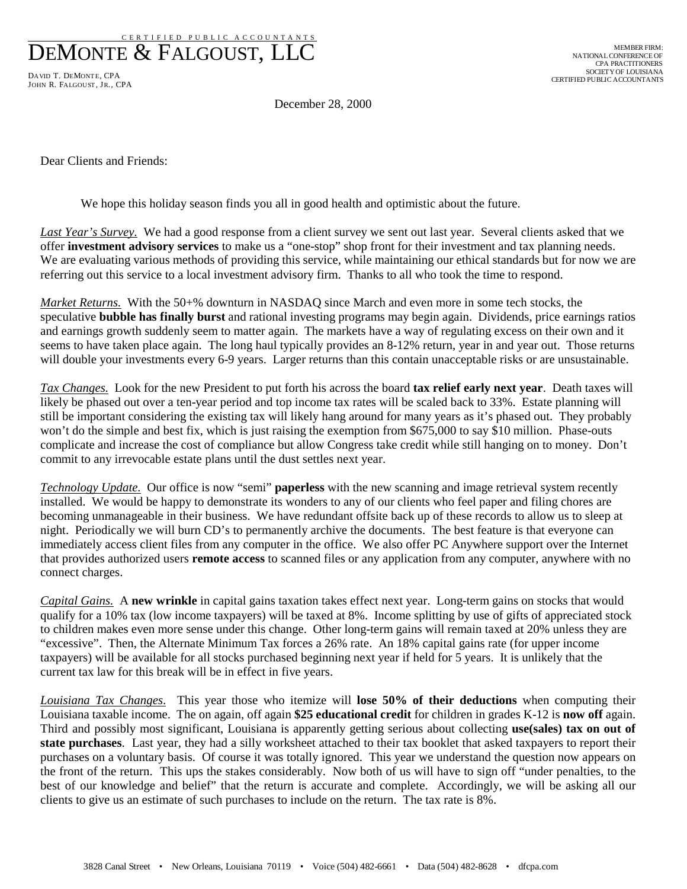CERT IFIED PUBLIC ACCOUNTANTS DEMONTE & FALGOUST, LLC

DAVID T. DEMONTE, CPA JOHN R. FALGOUST, JR., CPA

MEMBER FIRM: NATIONAL CONFERENCE OF CPA PRACTITIONERS SOCIETY OF LOUISIANA CERTIFIED PUBLIC ACCOUNTANTS

December 28, 2000

Dear Clients and Friends:

We hope this holiday season finds you all in good health and optimistic about the future.

*Last Year's Survey.* We had a good response from a client survey we sent out last year. Several clients asked that we offer **investment advisory services** to make us a "one-stop" shop front for their investment and tax planning needs. We are evaluating various methods of providing this service, while maintaining our ethical standards but for now we are referring out this service to a local investment advisory firm. Thanks to all who took the time to respond.

*Market Returns.* With the 50+% downturn in NASDAQ since March and even more in some tech stocks, the speculative **bubble has finally burst** and rational investing programs may begin again. Dividends, price earnings ratios and earnings growth suddenly seem to matter again. The markets have a way of regulating excess on their own and it seems to have taken place again. The long haul typically provides an 8-12% return, year in and year out. Those returns will double your investments every 6-9 years. Larger returns than this contain unacceptable risks or are unsustainable.

*Tax Changes.* Look for the new President to put forth his across the board **tax relief early next year**. Death taxes will likely be phased out over a ten-year period and top income tax rates will be scaled back to 33%. Estate planning will still be important considering the existing tax will likely hang around for many years as it's phased out. They probably won't do the simple and best fix, which is just raising the exemption from \$675,000 to say \$10 million. Phase-outs complicate and increase the cost of compliance but allow Congress take credit while still hanging on to money. Don't commit to any irrevocable estate plans until the dust settles next year.

*Technology Update.* Our office is now "semi" **paperless** with the new scanning and image retrieval system recently installed. We would be happy to demonstrate its wonders to any of our clients who feel paper and filing chores are becoming unmanageable in their business. We have redundant offsite back up of these records to allow us to sleep at night. Periodically we will burn CD's to permanently archive the documents. The best feature is that everyone can immediately access client files from any computer in the office. We also offer PC Anywhere support over the Internet that provides authorized users **remote access** to scanned files or any application from any computer, anywhere with no connect charges.

*Capital Gains.* A **new wrinkle** in capital gains taxation takes effect next year. Long-term gains on stocks that would qualify for a 10% tax (low income taxpayers) will be taxed at 8%. Income splitting by use of gifts of appreciated stock to children makes even more sense under this change. Other long-term gains will remain taxed at 20% unless they are "excessive". Then, the Alternate Minimum Tax forces a 26% rate. An 18% capital gains rate (for upper income taxpayers) will be available for all stocks purchased beginning next year if held for 5 years. It is unlikely that the current tax law for this break will be in effect in five years.

*Louisiana Tax Changes*. This year those who itemize will **lose 50% of their deductions** when computing their Louisiana taxable income. The on again, off again **\$25 educational credit** for children in grades K-12 is **now off** again. Third and possibly most significant, Louisiana is apparently getting serious about collecting **use(sales) tax on out of state purchases**. Last year, they had a silly worksheet attached to their tax booklet that asked taxpayers to report their purchases on a voluntary basis. Of course it was totally ignored. This year we understand the question now appears on the front of the return. This ups the stakes considerably. Now both of us will have to sign off "under penalties, to the best of our knowledge and belief" that the return is accurate and complete. Accordingly, we will be asking all our clients to give us an estimate of such purchases to include on the return. The tax rate is 8%.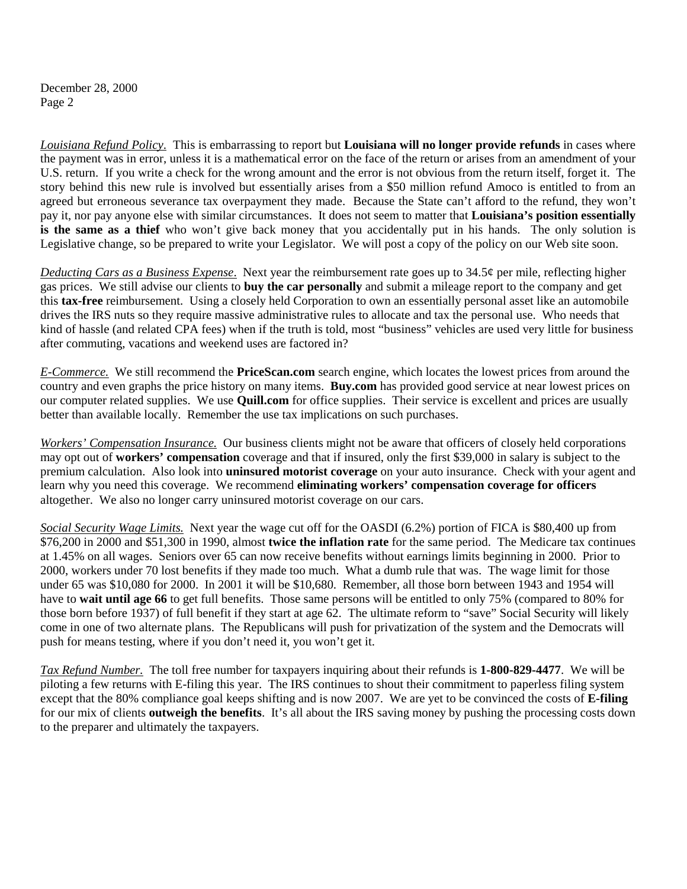December 28, 2000 Page 2

*Louisiana Refund Policy*. This is embarrassing to report but **Louisiana will no longer provide refunds** in cases where the payment was in error, unless it is a mathematical error on the face of the return or arises from an amendment of your U.S. return. If you write a check for the wrong amount and the error is not obvious from the return itself, forget it. The story behind this new rule is involved but essentially arises from a \$50 million refund Amoco is entitled to from an agreed but erroneous severance tax overpayment they made. Because the State can't afford to the refund, they won't pay it, nor pay anyone else with similar circumstances. It does not seem to matter that **Louisiana's position essentially is the same as a thief** who won't give back money that you accidentally put in his hands. The only solution is Legislative change, so be prepared to write your Legislator. We will post a copy of the policy on our Web site soon.

*Deducting Cars as a Business Expense*. Next year the reimbursement rate goes up to 34.5¢ per mile, reflecting higher gas prices. We still advise our clients to **buy the car personally** and submit a mileage report to the company and get this **tax-free** reimbursement. Using a closely held Corporation to own an essentially personal asset like an automobile drives the IRS nuts so they require massive administrative rules to allocate and tax the personal use. Who needs that kind of hassle (and related CPA fees) when if the truth is told, most "business" vehicles are used very little for business after commuting, vacations and weekend uses are factored in?

*E-Commerce.* We still recommend the **PriceScan.com** search engine, which locates the lowest prices from around the country and even graphs the price history on many items. **Buy.com** has provided good service at near lowest prices on our computer related supplies. We use **Quill.com** for office supplies. Their service is excellent and prices are usually better than available locally. Remember the use tax implications on such purchases.

*Workers' Compensation Insurance.* Our business clients might not be aware that officers of closely held corporations may opt out of **workers' compensation** coverage and that if insured, only the first \$39,000 in salary is subject to the premium calculation. Also look into **uninsured motorist coverage** on your auto insurance. Check with your agent and learn why you need this coverage. We recommend **eliminating workers' compensation coverage for officers** altogether. We also no longer carry uninsured motorist coverage on our cars.

*Social Security Wage Limits.* Next year the wage cut off for the OASDI (6.2%) portion of FICA is \$80,400 up from \$76,200 in 2000 and \$51,300 in 1990, almost **twice the inflation rate** for the same period. The Medicare tax continues at 1.45% on all wages. Seniors over 65 can now receive benefits without earnings limits beginning in 2000. Prior to 2000, workers under 70 lost benefits if they made too much. What a dumb rule that was. The wage limit for those under 65 was \$10,080 for 2000. In 2001 it will be \$10,680. Remember, all those born between 1943 and 1954 will have to **wait until age 66** to get full benefits. Those same persons will be entitled to only 75% (compared to 80% for those born before 1937) of full benefit if they start at age 62. The ultimate reform to "save" Social Security will likely come in one of two alternate plans. The Republicans will push for privatization of the system and the Democrats will push for means testing, where if you don't need it, you won't get it.

*Tax Refund Number.* The toll free number for taxpayers inquiring about their refunds is **1-800-829-4477**. We will be piloting a few returns with E-filing this year. The IRS continues to shout their commitment to paperless filing system except that the 80% compliance goal keeps shifting and is now 2007. We are yet to be convinced the costs of **E-filing** for our mix of clients **outweigh the benefits**. It's all about the IRS saving money by pushing the processing costs down to the preparer and ultimately the taxpayers.